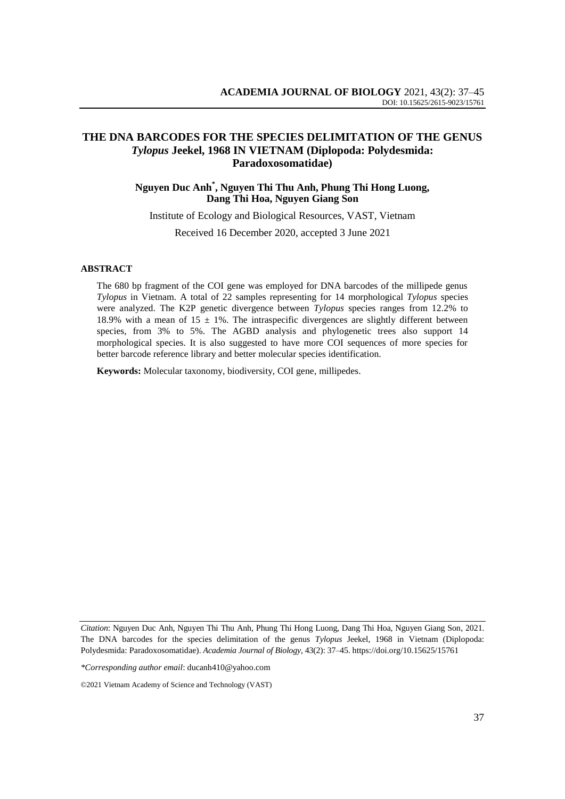## **THE DNA BARCODES FOR THE SPECIES DELIMITATION OF THE GENUS**  *Tylopus* **Jeekel, 1968 IN VIETNAM (Diplopoda: Polydesmida: Paradoxosomatidae)**

## **Nguyen Duc Anh\* , Nguyen Thi Thu Anh, Phung Thi Hong Luong, Dang Thi Hoa, Nguyen Giang Son**

Institute of Ecology and Biological Resources, VAST, Vietnam Received 16 December 2020, accepted 3 June 2021

#### **ABSTRACT**

The 680 bp fragment of the COI gene was employed for DNA barcodes of the millipede genus *Tylopus* in Vietnam. A total of 22 samples representing for 14 morphological *Tylopus* species were analyzed. The K2P genetic divergence between *Tylopus* species ranges from 12.2% to 18.9% with a mean of 15  $\pm$  1%. The intraspecific divergences are slightly different between species, from 3% to 5%. The AGBD analysis and phylogenetic trees also support 14 morphological species. It is also suggested to have more COI sequences of more species for better barcode reference library and better molecular species identification.

**Keywords:** Molecular taxonomy, biodiversity, COI gene, millipedes.

*Citation*: Nguyen Duc Anh, Nguyen Thi Thu Anh, Phung Thi Hong Luong, Dang Thi Hoa, Nguyen Giang Son, 2021. The DNA barcodes for the species delimitation of the genus *Tylopus* Jeekel, 1968 in Vietnam (Diplopoda: Polydesmida: Paradoxosomatidae). *Academia Journal of Biology*, 43(2): 37–45. [https://doi.org/1](https://doi.org/)0.15625/15761

*<sup>\*</sup>Corresponding author email*: ducanh410@yahoo.com

<sup>©2021</sup> Vietnam Academy of Science and Technology (VAST)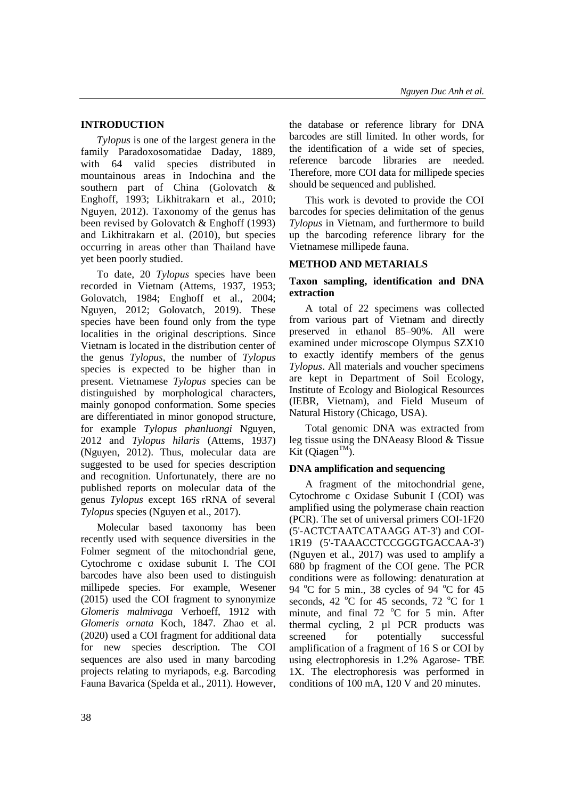## **INTRODUCTION**

*Tylopus* is one of the largest genera in the family Paradoxosomatidae Daday, 1889, with 64 valid species distributed in mountainous areas in Indochina and the southern part of China (Golovatch & Enghoff, 1993; Likhitrakarn et al., 2010; Nguyen, 2012). Taxonomy of the genus has been revised by Golovatch & Enghoff (1993) and Likhitrakarn et al. (2010), but species occurring in areas other than Thailand have yet been poorly studied.

To date, 20 *Tylopus* species have been recorded in Vietnam (Attems, 1937, 1953; Golovatch, 1984; Enghoff et al., 2004; Nguyen, 2012; Golovatch, 2019). These species have been found only from the type localities in the original descriptions. Since Vietnam is located in the distribution center of the genus *Tylopus*, the number of *Tylopus* species is expected to be higher than in present. Vietnamese *Tylopus* species can be distinguished by morphological characters, mainly gonopod conformation. Some species are differentiated in minor gonopod structure, for example *Tylopus phanluongi* Nguyen, 2012 and *Tylopus hilaris* (Attems, 1937) (Nguyen, 2012). Thus, molecular data are suggested to be used for species description and recognition. Unfortunately, there are no published reports on molecular data of the genus *Tylopus* except 16S rRNA of several *Tylopus* species (Nguyen et al., 2017).

Molecular based taxonomy has been recently used with sequence diversities in the Folmer segment of the mitochondrial gene, Cytochrome c oxidase subunit I. The COI barcodes have also been used to distinguish millipede species. For example, Wesener (2015) used the COI fragment to synonymize *Glomeris malmivaga* Verhoeff, 1912 with *Glomeris ornata* Koch, 1847. Zhao et al. (2020) used a COI fragment for additional data for new species description. The COI sequences are also used in many barcoding projects relating to myriapods, e.g. Barcoding Fauna Bavarica (Spelda et al., 2011). However,

the database or reference library for DNA barcodes are still limited. In other words, for the identification of a wide set of species, reference barcode libraries are needed. Therefore, more COI data for millipede species should be sequenced and published.

This work is devoted to provide the COI barcodes for species delimitation of the genus *Tylopus* in Vietnam, and furthermore to build up the barcoding reference library for the Vietnamese millipede fauna.

### **METHOD AND METARIALS**

### **Taxon sampling, identification and DNA extraction**

A total of 22 specimens was collected from various part of Vietnam and directly preserved in ethanol 85–90%. All were examined under microscope Olympus SZX10 to exactly identify members of the genus *Tylopus*. All materials and voucher specimens are kept in Department of Soil Ecology, Institute of Ecology and Biological Resources (IEBR, Vietnam), and Field Museum of Natural History (Chicago, USA).

Total genomic DNA was extracted from leg tissue using the DNAeasy Blood & Tissue Kit (Qiagen<sup>TM</sup>).

## **DNA amplification and sequencing**

A fragment of the mitochondrial gene, Cytochrome c Oxidase Subunit I (COI) was amplified using the polymerase chain reaction (PCR). The set of universal primers COI-1F20 (5'-ACTCTAATCATAAGG AT-3') and COI-1R19 (5'-TAAACCTCCGGGTGACCAA-3') (Nguyen et al., 2017) was used to amplify a 680 bp fragment of the COI gene. The PCR conditions were as following: denaturation at 94  $^{\circ}$ C for 5 min., 38 cycles of 94  $^{\circ}$ C for 45 seconds, 42  $^{\circ}$ C for 45 seconds, 72  $^{\circ}$ C for 1 minute, and final  $72^{\circ}$ C for 5 min. After thermal cycling, 2 µl PCR products was screened for potentially successful amplification of a fragment of 16 S or COI by using electrophoresis in 1.2% Agarose- TBE 1X. The electrophoresis was performed in conditions of 100 mA, 120 V and 20 minutes.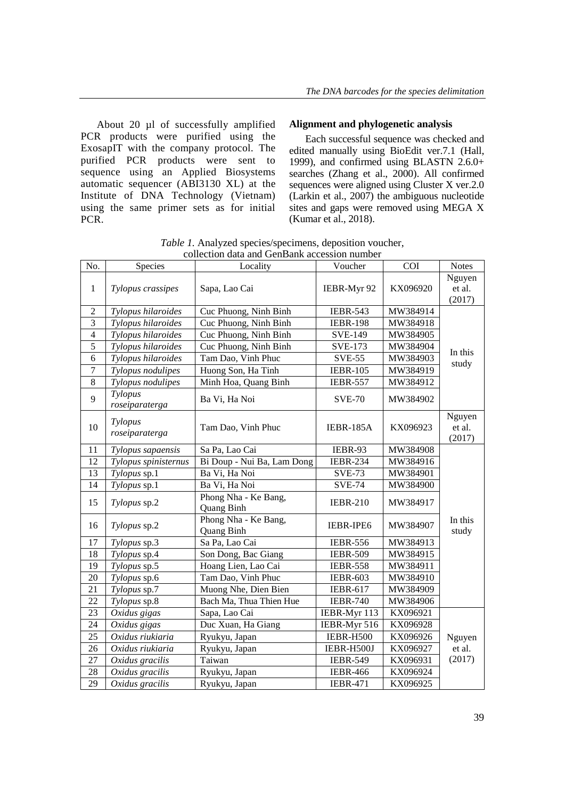About 20 µl of successfully amplified PCR products were purified using the ExosapIT with the company protocol. The purified PCR products were sent to sequence using an Applied Biosystems automatic sequencer (ABI3130 XL) at the Institute of DNA Technology (Vietnam) using the same primer sets as for initial PCR.

#### **Alignment and phylogenetic analysis**

Each successful sequence was checked and edited manually using BioEdit ver.7.1 (Hall, 1999), and confirmed using BLASTN 2.6.0+ searches (Zhang et al., 2000). All confirmed sequences were aligned using Cluster X ver.2.0 (Larkin et al., 2007) the ambiguous nucleotide sites and gaps were removed using MEGA X (Kumar et al., 2018).

*Table 1.* Analyzed species/specimens, deposition voucher, collection data and GenBank accession number

| No.            | <b>Species</b>            | Locality                           | Voucher         | <b>COI</b> | <b>Notes</b>               |  |
|----------------|---------------------------|------------------------------------|-----------------|------------|----------------------------|--|
| 1              | Tylopus crassipes         | Sapa, Lao Cai                      | IEBR-Myr 92     | KX096920   | Nguyen<br>et al.<br>(2017) |  |
| $\overline{2}$ | Tylopus hilaroides        | Cuc Phuong, Ninh Binh              | <b>IEBR-543</b> | MW384914   |                            |  |
| $\overline{3}$ | Tylopus hilaroides        | Cuc Phuong, Ninh Binh              | <b>IEBR-198</b> | MW384918   |                            |  |
| $\overline{4}$ | Tylopus hilaroides        | Cuc Phuong, Ninh Binh              | <b>SVE-149</b>  | MW384905   |                            |  |
| 5              | Tylopus hilaroides        | Cuc Phuong, Ninh Binh              | <b>SVE-173</b>  | MW384904   | In this                    |  |
| 6              | Tylopus hilaroides        | Tam Dao, Vinh Phuc                 | <b>SVE-55</b>   | MW384903   | study                      |  |
| $\tau$         | Tylopus nodulipes         | Huong Son, Ha Tinh                 | <b>IEBR-105</b> | MW384919   |                            |  |
| $\,$ 8 $\,$    | Tylopus nodulipes         | Minh Hoa, Quang Binh               | <b>IEBR-557</b> | MW384912   |                            |  |
| 9              | Tylopus<br>roseiparaterga | Ba Vi, Ha Noi                      | <b>SVE-70</b>   | MW384902   |                            |  |
| 10             | Tylopus<br>roseiparaterga | Tam Dao, Vinh Phuc                 | IEBR-185A       | KX096923   | Nguyen<br>et al.<br>(2017) |  |
| 11             | Tylopus sapaensis         | Sa Pa, Lao Cai                     | IEBR-93         | MW384908   |                            |  |
| 12             | Tylopus spinisternus      | Bi Doup - Nui Ba, Lam Dong         | <b>IEBR-234</b> | MW384916   |                            |  |
| 13             | Tylopus sp.1              | Ba Vi, Ha Noi                      | <b>SVE-73</b>   | MW384901   |                            |  |
| 14             | Tylopus sp.1              | Ba Vi, Ha Noi                      | <b>SVE-74</b>   | MW384900   |                            |  |
| 15             | Tylopus sp.2              | Phong Nha - Ke Bang,<br>Quang Binh | <b>IEBR-210</b> | MW384917   |                            |  |
| 16             | Tylopus sp.2              | Phong Nha - Ke Bang,<br>Quang Binh | IEBR-IPE6       | MW384907   | In this<br>study           |  |
| 17             | Tylopus sp.3              | Sa Pa, Lao Cai                     | <b>IEBR-556</b> | MW384913   |                            |  |
| 18             | Tylopus sp.4              | Son Dong, Bac Giang                | <b>IEBR-509</b> | MW384915   |                            |  |
| 19             | Tylopus sp.5              | Hoang Lien, Lao Cai                | <b>IEBR-558</b> | MW384911   |                            |  |
| 20             | Tylopus sp.6              | Tam Dao, Vinh Phuc                 | <b>IEBR-603</b> | MW384910   |                            |  |
| 21             | Tylopus sp.7              | Muong Nhe, Dien Bien               | <b>IEBR-617</b> | MW384909   |                            |  |
| 22             | Tylopus sp.8              | Bach Ma, Thua Thien Hue            | <b>IEBR-740</b> | MW384906   |                            |  |
| 23             | Oxidus gigas              | Sapa, Lao Cai                      | IEBR-Myr 113    | KX096921   |                            |  |
| 24             | Oxidus gigas              | Duc Xuan, Ha Giang                 | IEBR-Myr 516    | KX096928   |                            |  |
| 25             | Oxidus riukiaria          | Ryukyu, Japan                      | IEBR-H500       | KX096926   | Nguyen                     |  |
| 26             | Oxidus riukiaria          | Ryukyu, Japan                      | IEBR-H500J      | KX096927   | et al.                     |  |
| 27             | Oxidus gracilis           | Taiwan                             | <b>IEBR-549</b> | KX096931   | (2017)                     |  |
| 28             | Oxidus gracilis           | Ryukyu, Japan                      | <b>IEBR-466</b> | KX096924   |                            |  |
| 29             | Oxidus gracilis           | Ryukyu, Japan                      | <b>IEBR-471</b> | KX096925   |                            |  |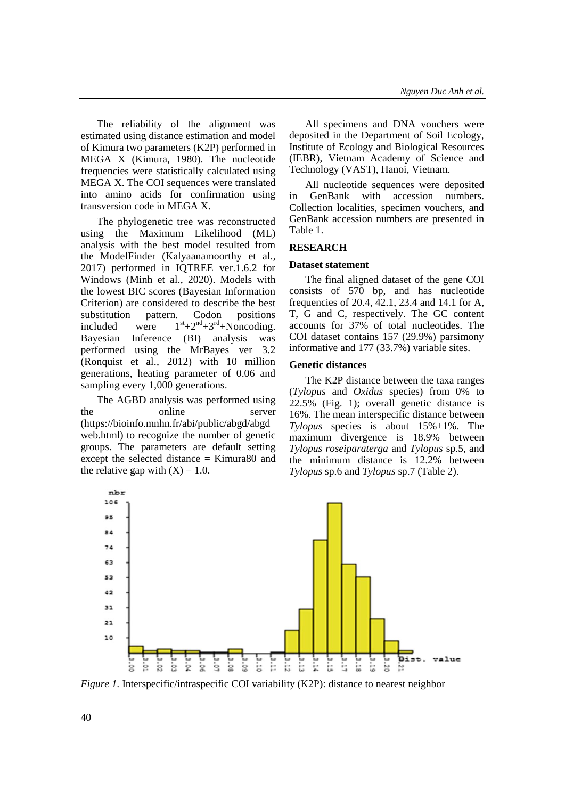The reliability of the alignment was estimated using distance estimation and model of Kimura two parameters (K2P) performed in MEGA X (Kimura, 1980). The nucleotide frequencies were statistically calculated using MEGA X. The COI sequences were translated into amino acids for confirmation using transversion code in MEGA X.

The phylogenetic tree was reconstructed using the Maximum Likelihood (ML) analysis with the best model resulted from the ModelFinder (Kalyaanamoorthy et al., 2017) performed in IQTREE ver.1.6.2 for Windows (Minh et al., 2020). Models with the lowest BIC scores (Bayesian Information Criterion) are considered to describe the best substitution pattern. Codon positions included were  $1<sup>st</sup>+2<sup>nd</sup>+3<sup>rd</sup>+Noncoding.$ Bayesian Inference (BI) analysis was performed using the MrBayes ver 3.2 (Ronquist et al., 2012) with 10 million generations, heating parameter of 0.06 and sampling every 1,000 generations.

The AGBD analysis was performed using the online server (https://bioinfo.mnhn.fr/abi/public/abgd/abgd web.html) to recognize the number of genetic groups. The parameters are default setting except the selected distance = Kimura80 and the relative gap with  $(X) = 1.0$ .

All specimens and DNA vouchers were deposited in the Department of Soil Ecology, Institute of Ecology and Biological Resources (IEBR), Vietnam Academy of Science and Technology (VAST), Hanoi, Vietnam.

All nucleotide sequences were deposited in GenBank with accession numbers. Collection localities, specimen vouchers, and GenBank accession numbers are presented in Table 1.

### **RESEARCH**

#### **Dataset statement**

The final aligned dataset of the gene COI consists of 570 bp, and has nucleotide frequencies of 20.4, 42.1, 23.4 and 14.1 for A, T, G and C, respectively. The GC content accounts for 37% of total nucleotides. The COI dataset contains 157 (29.9%) parsimony informative and 177 (33.7%) variable sites.

#### **Genetic distances**

The K2P distance between the taxa ranges (*Tylopus* and *Oxidus* species) from 0% to  $22.5\%$  (Fig. 1); overall genetic distance is 16%. The mean interspecific distance between *Tylopus* species is about 15%±1%. The maximum divergence is 18.9% between *Tylopus roseiparaterga* and *Tylopus* sp.5, and the minimum distance is 12.2% between *Tylopus* sp.6 and *Tylopus* sp.7 (Table 2).



*Figure 1.* Interspecific/intraspecific COI variability (K2P): distance to nearest neighbor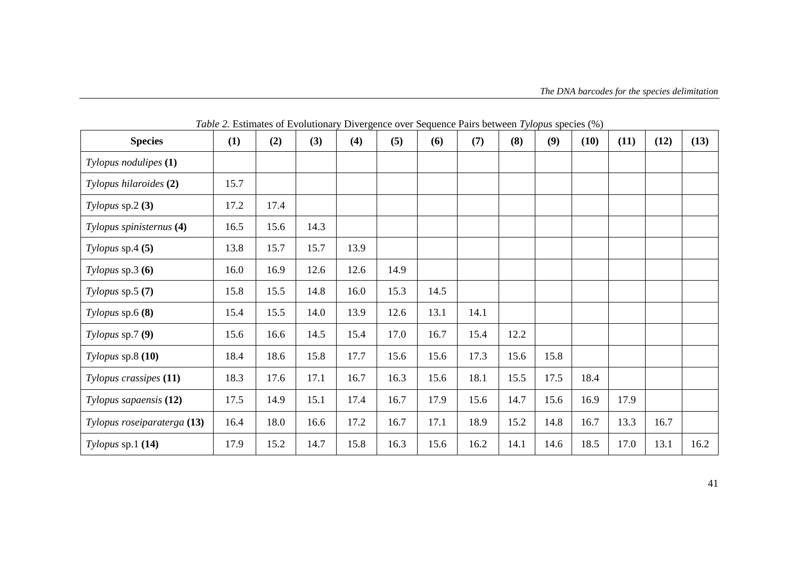| <b>Species</b>              | (1)  | (2)  | (3)  | (4)  | (5)  | (6)  | (7)  | (8)  | (9)  | (10) | (11) | (12) | (13) |
|-----------------------------|------|------|------|------|------|------|------|------|------|------|------|------|------|
| Tylopus nodulipes (1)       |      |      |      |      |      |      |      |      |      |      |      |      |      |
| Tylopus hilaroides (2)      | 15.7 |      |      |      |      |      |      |      |      |      |      |      |      |
| Tylopus $sp.2(3)$           | 17.2 | 17.4 |      |      |      |      |      |      |      |      |      |      |      |
| Tylopus spinisternus (4)    | 16.5 | 15.6 | 14.3 |      |      |      |      |      |      |      |      |      |      |
| Tylopus $sp.4(5)$           | 13.8 | 15.7 | 15.7 | 13.9 |      |      |      |      |      |      |      |      |      |
| Tylopus $sp.3(6)$           | 16.0 | 16.9 | 12.6 | 12.6 | 14.9 |      |      |      |      |      |      |      |      |
| Tylopus $sp.5(7)$           | 15.8 | 15.5 | 14.8 | 16.0 | 15.3 | 14.5 |      |      |      |      |      |      |      |
| Tylopus $sp.6(8)$           | 15.4 | 15.5 | 14.0 | 13.9 | 12.6 | 13.1 | 14.1 |      |      |      |      |      |      |
| Tylopus sp. $7(9)$          | 15.6 | 16.6 | 14.5 | 15.4 | 17.0 | 16.7 | 15.4 | 12.2 |      |      |      |      |      |
| Tylopus $sp.8(10)$          | 18.4 | 18.6 | 15.8 | 17.7 | 15.6 | 15.6 | 17.3 | 15.6 | 15.8 |      |      |      |      |
| Tylopus crassipes (11)      | 18.3 | 17.6 | 17.1 | 16.7 | 16.3 | 15.6 | 18.1 | 15.5 | 17.5 | 18.4 |      |      |      |
| Tylopus sapaensis (12)      | 17.5 | 14.9 | 15.1 | 17.4 | 16.7 | 17.9 | 15.6 | 14.7 | 15.6 | 16.9 | 17.9 |      |      |
| Tylopus roseiparaterga (13) | 16.4 | 18.0 | 16.6 | 17.2 | 16.7 | 17.1 | 18.9 | 15.2 | 14.8 | 16.7 | 13.3 | 16.7 |      |
| $Tylopus$ sp.1 (14)         | 17.9 | 15.2 | 14.7 | 15.8 | 16.3 | 15.6 | 16.2 | 14.1 | 14.6 | 18.5 | 17.0 | 13.1 | 16.2 |

*Table 2.* Estimates of Evolutionary Divergence over Sequence Pairs between *Tylopus* species (%)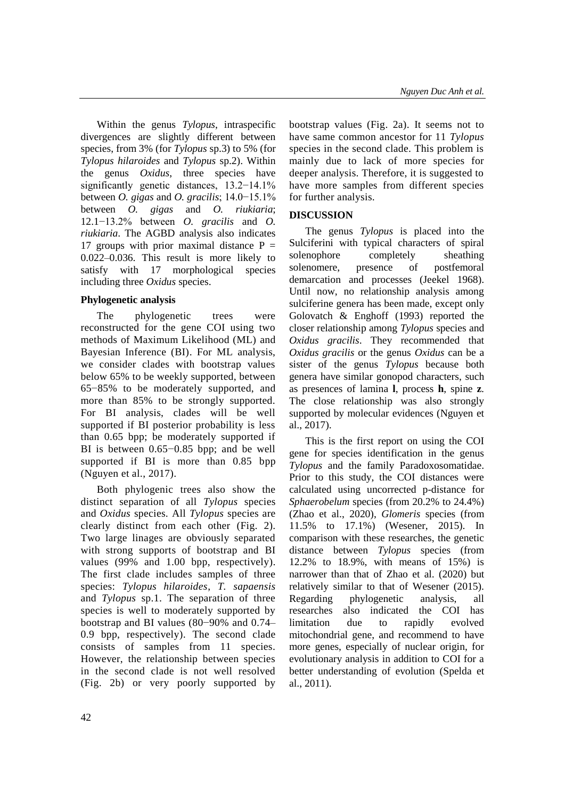Within the genus *Tylopus*, intraspecific divergences are slightly different between species, from 3% (for *Tylopus* sp.3) to 5% (for *Tylopus hilaroides* and *Tylopus* sp.2). Within the genus *Oxidus*, three species have significantly genetic distances, 13.2−14.1% between *O. gigas* and *O. gracilis*; 14.0−15.1% between *O. gigas* and *O. riukiaria*; 12.1−13.2% between *O. gracilis* and *O. riukiaria*. The AGBD analysis also indicates 17 groups with prior maximal distance  $P =$ 0.022–0.036. This result is more likely to satisfy with 17 morphological species including three *Oxidus* species.

# **Phylogenetic analysis**

The phylogenetic trees were reconstructed for the gene COI using two methods of Maximum Likelihood (ML) and Bayesian Inference (BI). For ML analysis, we consider clades with bootstrap values below 65% to be weekly supported, between 65−85% to be moderately supported, and more than 85% to be strongly supported. For BI analysis, clades will be well supported if BI posterior probability is less than 0.65 bpp; be moderately supported if BI is between 0.65−0.85 bpp; and be well supported if BI is more than 0.85 bpp (Nguyen et al., 2017).

Both phylogenic trees also show the distinct separation of all *Tylopus* species and *Oxidus* species. All *Tylopus* species are clearly distinct from each other (Fig. 2). Two large linages are obviously separated with strong supports of bootstrap and BI values (99% and 1.00 bpp, respectively). The first clade includes samples of three species: *Tylopus hilaroides*, *T. sapaensis* and *Tylopus* sp.1. The separation of three species is well to moderately supported by bootstrap and BI values (80−90% and 0.74– 0.9 bpp, respectively). The second clade consists of samples from 11 species. However, the relationship between species in the second clade is not well resolved (Fig. 2b) or very poorly supported by

bootstrap values (Fig. 2a). It seems not to have same common ancestor for 11 *Tylopus* species in the second clade. This problem is mainly due to lack of more species for deeper analysis. Therefore, it is suggested to have more samples from different species for further analysis.

# **DISCUSSION**

The genus *Tylopus* is placed into the Sulciferini with typical characters of spiral solenophore completely sheathing solenomere, presence of postfemoral demarcation and processes (Jeekel 1968). Until now, no relationship analysis among sulciferine genera has been made, except only Golovatch & Enghoff (1993) reported the closer relationship among *Tylopus* species and *Oxidus gracilis*. They recommended that *Oxidus gracilis* or the genus *Oxidus* can be a sister of the genus *Tylopus* because both genera have similar gonopod characters, such as presences of lamina **l**, process **h**, spine **z**. The close relationship was also strongly supported by molecular evidences (Nguyen et al., 2017).

This is the first report on using the COI gene for species identification in the genus *Tylopus* and the family Paradoxosomatidae. Prior to this study, the COI distances were calculated using uncorrected p-distance for *Sphaerobelum* species (from 20.2% to 24.4%) (Zhao et al., 2020), *Glomeris* species (from 11.5% to 17.1%) (Wesener, 2015). In comparison with these researches, the genetic distance between *Tylopus* species (from 12.2% to 18.9%, with means of 15%) is narrower than that of Zhao et al. (2020) but relatively similar to that of Wesener (2015). Regarding phylogenetic analysis, all researches also indicated the COI has limitation due to rapidly evolved mitochondrial gene, and recommend to have more genes, especially of nuclear origin, for evolutionary analysis in addition to COI for a better understanding of evolution (Spelda et al., 2011).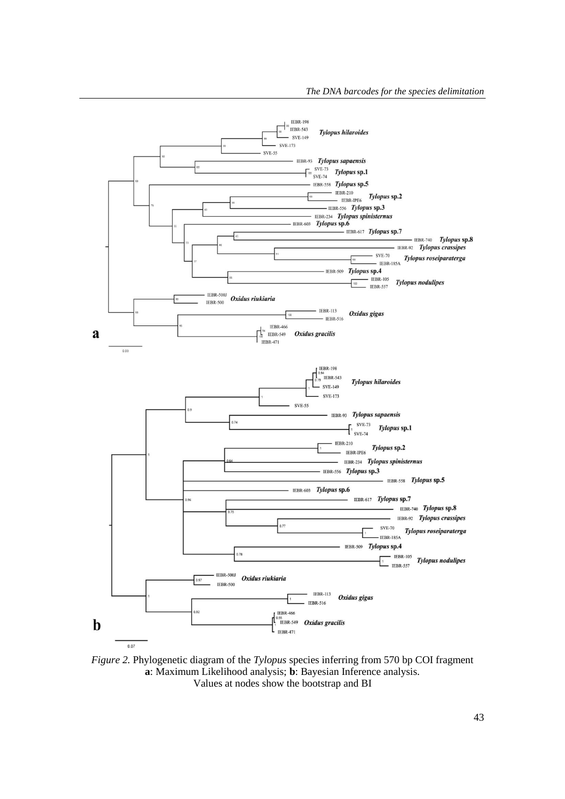

*Figure 2.* Phylogenetic diagram of the *Tylopus* species inferring from 570 bp COI fragment **a**: Maximum Likelihood analysis; **b**: Bayesian Inference analysis. Values at nodes show the bootstrap and BI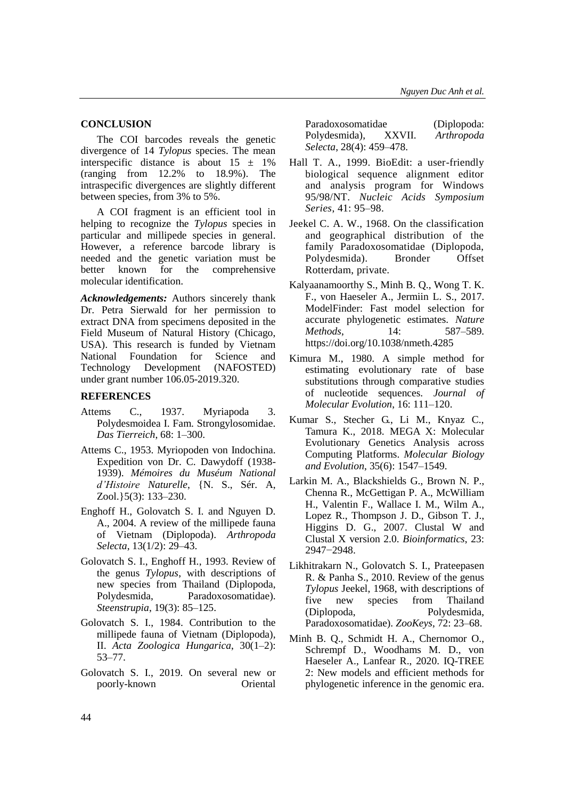#### **CONCLUSION**

The COI barcodes reveals the genetic divergence of 14 *Tylopus* species. The mean interspecific distance is about  $15 \pm 1\%$ (ranging from 12.2% to 18.9%). The intraspecific divergences are slightly different between species, from 3% to 5%.

A COI fragment is an efficient tool in helping to recognize the *Tylopus* species in particular and millipede species in general. However, a reference barcode library is needed and the genetic variation must be better known for the comprehensive molecular identification.

*Acknowledgements:* Authors sincerely thank Dr. Petra Sierwald for her permission to extract DNA from specimens deposited in the Field Museum of Natural History (Chicago, USA). This research is funded by Vietnam National Foundation for Science and Technology Development (NAFOSTED) under grant number 106.05-2019.320.

#### **REFERENCES**

- Attems C., 1937. Myriapoda 3. Polydesmoidea I. Fam. Strongylosomidae. *Das Tierreich*, 68: 1–300.
- Attems C., 1953. Myriopoden von Indochina. Expedition von Dr. C. Dawydoff (1938- 1939). *Mémoires du Muséum National d'Histoire Naturelle*, {N. S., Sér. A, Zool.}5(3): 133–230.
- Enghoff H., Golovatch S. I. and Nguyen D. A., 2004. A review of the millipede fauna of Vietnam (Diplopoda). *Arthropoda Selecta*, 13(1/2): 29–43.
- Golovatch S. I., Enghoff H., 1993. Review of the genus *Tylopus*, with descriptions of new species from Thailand (Diplopoda, Polydesmida, Paradoxosomatidae). *Steenstrupia*, 19(3): 85–125.
- Golovatch S. I., 1984. Contribution to the millipede fauna of Vietnam (Diplopoda), II. *Acta Zoologica Hungarica*, 30(1–2): 53–77.
- Golovatch S. I., 2019. On several new or poorly-known Oriental

Paradoxosomatidae (Diplopoda: Polydesmida), XXVII. *Arthropoda Selecta*, 28(4): 459–478.

- Hall T. A., 1999. BioEdit: a user-friendly biological sequence alignment editor and analysis program for Windows 95/98/NT. *Nucleic Acids Symposium Series*, 41: 95–98.
- Jeekel C. A. W., 1968. On the classification and geographical distribution of the family Paradoxosomatidae (Diplopoda, Polydesmida). Bronder Offset Rotterdam, private*.*
- Kalyaanamoorthy S., Minh B. Q., Wong T. K. F., von Haeseler A., Jermiin L. S., 2017. ModelFinder: Fast model selection for accurate phylogenetic estimates. *Nature Methods*, 14: 587–589. <https://doi.org/10.1038/nmeth.4285>
- Kimura M., 1980. A simple method for estimating evolutionary rate of base substitutions through comparative studies of nucleotide sequences. *Journal of Molecular Evolution*, 16: 111–120.
- Kumar S., Stecher G., Li M., Knyaz C., Tamura K., 2018. MEGA X: Molecular Evolutionary Genetics Analysis across Computing Platforms. *Molecular Biology and Evolution*, 35(6): 1547–1549.
- Larkin M. A., Blackshields G., Brown N. P., Chenna R., McGettigan P. A., McWilliam H., Valentin F., Wallace I. M., Wilm A., Lopez R., Thompson J. D., Gibson T. J., Higgins D. G., 2007. Clustal W and Clustal X version 2.0. *Bioinformatics*, 23: 2947−2948.
- Likhitrakarn N., Golovatch S. I., Prateepasen R. & Panha S., 2010. Review of the genus *Tylopus* Jeekel, 1968, with descriptions of five new species from Thailand (Diplopoda, Polydesmida, Paradoxosomatidae). *ZooKeys*, 72: 23–68.
- Minh B. Q., Schmidt H. A., Chernomor O., Schrempf D., Woodhams M. D., von Haeseler A., Lanfear R., 2020. IQ-TREE 2: New models and efficient methods for phylogenetic inference in the genomic era.